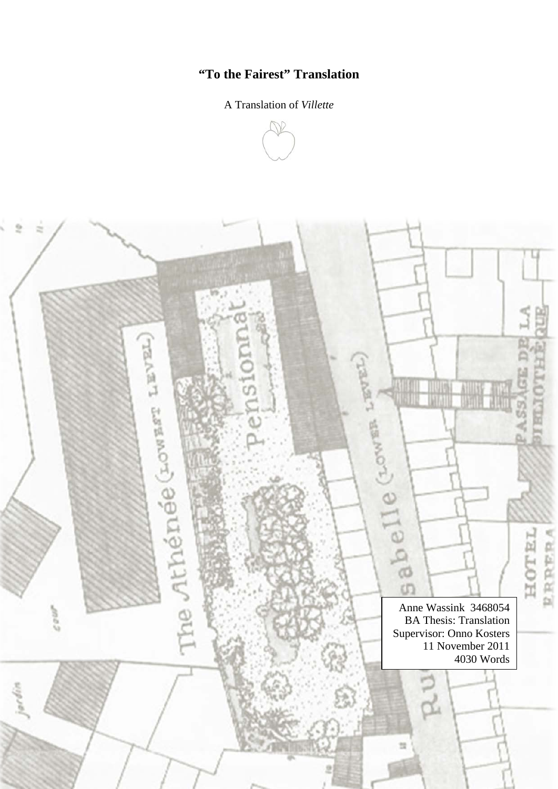# **"To the Fairest" Translation**

# A Translation of *Villette*



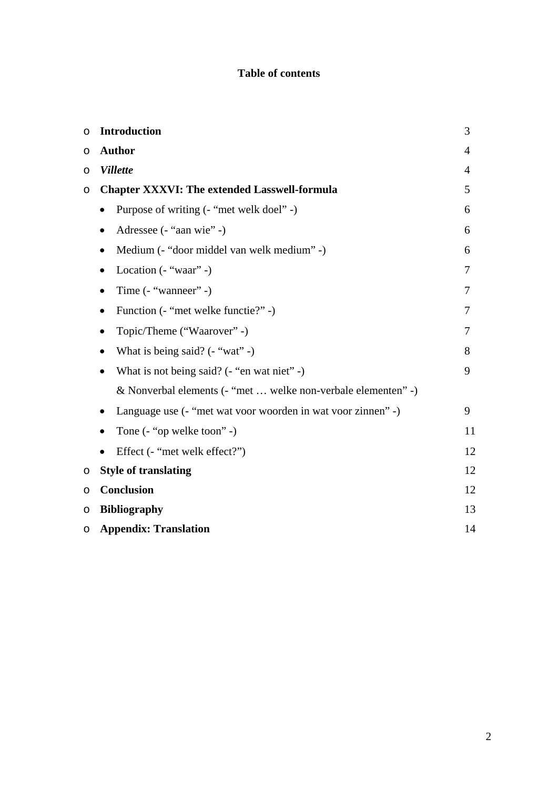# **Table of contents**

| O       | <b>Introduction</b>                                               | 3              |
|---------|-------------------------------------------------------------------|----------------|
| O       | <b>Author</b>                                                     | $\overline{4}$ |
| O       | <b>Villette</b>                                                   | 4              |
| $\circ$ | <b>Chapter XXXVI: The extended Lasswell-formula</b>               | 5              |
|         | Purpose of writing (- "met welk doel" -)<br>$\bullet$             | 6              |
|         | Adressee (- "aan wie" -)<br>$\bullet$                             | 6              |
|         | Medium (- "door middel van welk medium" -)<br>$\bullet$           | 6              |
|         | Location (- "waar" -)<br>$\bullet$                                | 7              |
|         | Time (- "wanneer" -)<br>$\bullet$                                 | 7              |
|         | Function (- "met welke functie?" -)<br>٠                          | 7              |
|         | Topic/Theme ("Waarover" -)<br>$\bullet$                           | 7              |
|         | What is being said? $(-$ "wat" -)<br>$\bullet$                    | 8              |
|         | What is not being said? (- "en wat niet" -)<br>$\bullet$          | 9              |
|         | & Nonverbal elements (- "met  welke non-verbale elementen" -)     |                |
|         | Language use (- "met wat voor woorden in wat voor zinnen" -)<br>٠ | 9              |
|         | Tone (- "op welke toon" -)<br>٠                                   | 11             |
|         | Effect (- "met welk effect?")                                     | 12             |
| O       | <b>Style of translating</b>                                       | 12             |
| O       | <b>Conclusion</b>                                                 | 12             |
| O       | <b>Bibliography</b>                                               | 13             |
| O       | <b>Appendix: Translation</b>                                      | 14             |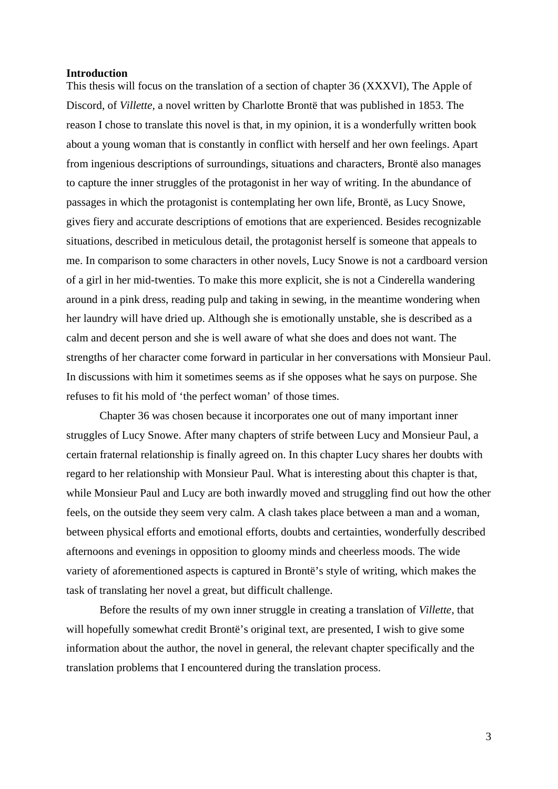#### **Introduction**

This thesis will focus on the translation of a section of chapter 36 (XXXVI), The Apple of Discord, of *Villette,* a novel written by Charlotte Brontë that was published in 1853. The reason I chose to translate this novel is that, in my opinion, it is a wonderfully written book about a young woman that is constantly in conflict with herself and her own feelings. Apart from ingenious descriptions of surroundings, situations and characters, Brontë also manages to capture the inner struggles of the protagonist in her way of writing. In the abundance of passages in which the protagonist is contemplating her own life, Brontë, as Lucy Snowe, gives fiery and accurate descriptions of emotions that are experienced. Besides recognizable situations, described in meticulous detail, the protagonist herself is someone that appeals to me. In comparison to some characters in other novels, Lucy Snowe is not a cardboard version of a girl in her mid-twenties. To make this more explicit, she is not a Cinderella wandering around in a pink dress, reading pulp and taking in sewing, in the meantime wondering when her laundry will have dried up. Although she is emotionally unstable, she is described as a calm and decent person and she is well aware of what she does and does not want. The strengths of her character come forward in particular in her conversations with Monsieur Paul. In discussions with him it sometimes seems as if she opposes what he says on purpose. She refuses to fit his mold of 'the perfect woman' of those times.

Chapter 36 was chosen because it incorporates one out of many important inner struggles of Lucy Snowe. After many chapters of strife between Lucy and Monsieur Paul, a certain fraternal relationship is finally agreed on. In this chapter Lucy shares her doubts with regard to her relationship with Monsieur Paul. What is interesting about this chapter is that, while Monsieur Paul and Lucy are both inwardly moved and struggling find out how the other feels, on the outside they seem very calm. A clash takes place between a man and a woman, between physical efforts and emotional efforts, doubts and certainties, wonderfully described afternoons and evenings in opposition to gloomy minds and cheerless moods. The wide variety of aforementioned aspects is captured in Brontë's style of writing, which makes the task of translating her novel a great, but difficult challenge.

Before the results of my own inner struggle in creating a translation of *Villette,* that will hopefully somewhat credit Brontë's original text, are presented, I wish to give some information about the author, the novel in general, the relevant chapter specifically and the translation problems that I encountered during the translation process.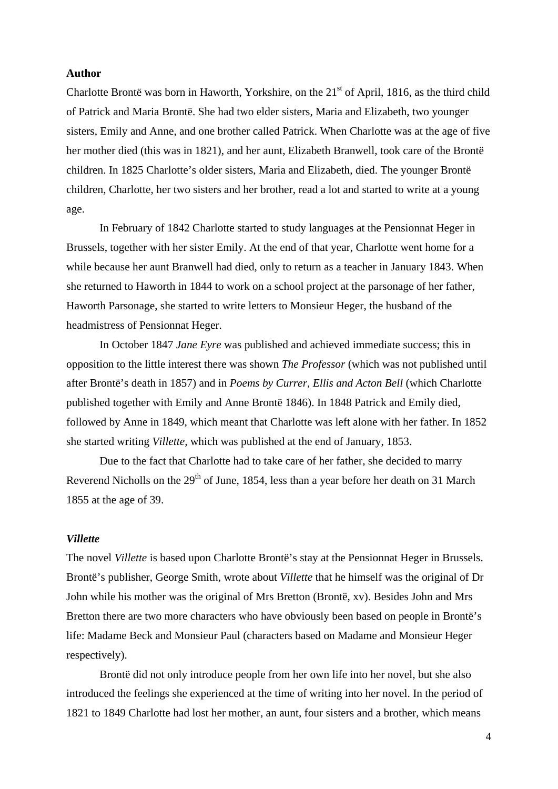#### **Author**

Charlotte Brontë was born in Haworth, Yorkshire, on the  $21<sup>st</sup>$  of April, 1816, as the third child of Patrick and Maria Brontë. She had two elder sisters, Maria and Elizabeth, two younger sisters, Emily and Anne, and one brother called Patrick. When Charlotte was at the age of five her mother died (this was in 1821), and her aunt, Elizabeth Branwell, took care of the Brontë children. In 1825 Charlotte's older sisters, Maria and Elizabeth, died. The younger Brontë children, Charlotte, her two sisters and her brother, read a lot and started to write at a young age.

In February of 1842 Charlotte started to study languages at the Pensionnat Heger in Brussels, together with her sister Emily. At the end of that year, Charlotte went home for a while because her aunt Branwell had died, only to return as a teacher in January 1843. When she returned to Haworth in 1844 to work on a school project at the parsonage of her father, Haworth Parsonage, she started to write letters to Monsieur Heger, the husband of the headmistress of Pensionnat Heger.

In October 1847 *Jane Eyre* was published and achieved immediate success; this in opposition to the little interest there was shown *The Professor* (which was not published until after Brontë's death in 1857) and in *Poems by Currer, Ellis and Acton Bell* (which Charlotte published together with Emily and Anne Brontë 1846). In 1848 Patrick and Emily died, followed by Anne in 1849, which meant that Charlotte was left alone with her father. In 1852 she started writing *Villette,* which was published at the end of January, 1853.

Due to the fact that Charlotte had to take care of her father, she decided to marry Reverend Nicholls on the  $29<sup>th</sup>$  of June, 1854, less than a year before her death on 31 March 1855 at the age of 39.

#### *Villette*

The novel *Villette* is based upon Charlotte Brontë's stay at the Pensionnat Heger in Brussels. Brontë's publisher, George Smith, wrote about *Villette* that he himself was the original of Dr John while his mother was the original of Mrs Bretton (Brontë, xv). Besides John and Mrs Bretton there are two more characters who have obviously been based on people in Brontë's life: Madame Beck and Monsieur Paul (characters based on Madame and Monsieur Heger respectively).

Brontë did not only introduce people from her own life into her novel, but she also introduced the feelings she experienced at the time of writing into her novel. In the period of 1821 to 1849 Charlotte had lost her mother, an aunt, four sisters and a brother, which means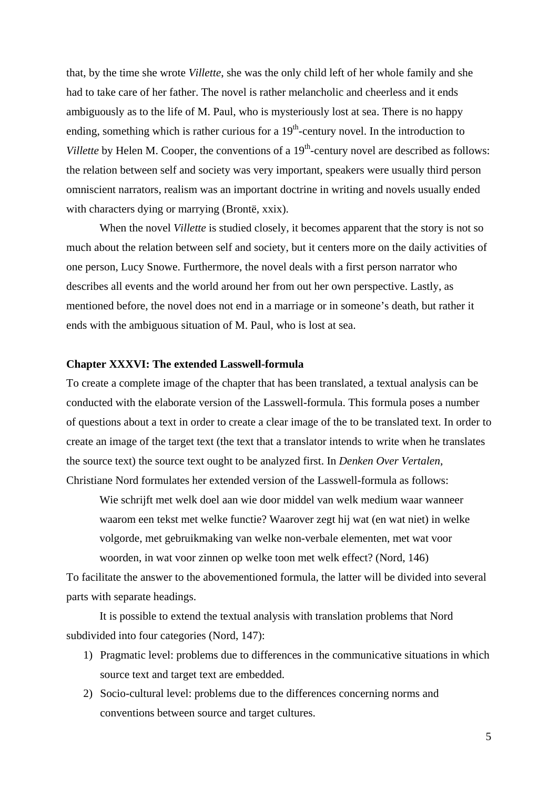that, by the time she wrote *Villette*, she was the only child left of her whole family and she had to take care of her father. The novel is rather melancholic and cheerless and it ends ambiguously as to the life of M. Paul, who is mysteriously lost at sea. There is no happy ending, something which is rather curious for a  $19<sup>th</sup>$ -century novel. In the introduction to *Villette* by Helen M. Cooper, the conventions of a 19<sup>th</sup>-century novel are described as follows: the relation between self and society was very important, speakers were usually third person omniscient narrators, realism was an important doctrine in writing and novels usually ended with characters dying or marrying (Brontë, xxix).

When the novel *Villette* is studied closely, it becomes apparent that the story is not so much about the relation between self and society, but it centers more on the daily activities of one person, Lucy Snowe. Furthermore, the novel deals with a first person narrator who describes all events and the world around her from out her own perspective. Lastly, as mentioned before, the novel does not end in a marriage or in someone's death, but rather it ends with the ambiguous situation of M. Paul, who is lost at sea.

# **Chapter XXXVI: The extended Lasswell-formula**

To create a complete image of the chapter that has been translated, a textual analysis can be conducted with the elaborate version of the Lasswell-formula. This formula poses a number of questions about a text in order to create a clear image of the to be translated text. In order to create an image of the target text (the text that a translator intends to write when he translates the source text) the source text ought to be analyzed first. In *Denken Over Vertalen*, Christiane Nord formulates her extended version of the Lasswell-formula as follows:

Wie schrijft met welk doel aan wie door middel van welk medium waar wanneer waarom een tekst met welke functie? Waarover zegt hij wat (en wat niet) in welke volgorde, met gebruikmaking van welke non-verbale elementen, met wat voor woorden, in wat voor zinnen op welke toon met welk effect? (Nord, 146)

To facilitate the answer to the abovementioned formula, the latter will be divided into several parts with separate headings.

It is possible to extend the textual analysis with translation problems that Nord subdivided into four categories (Nord, 147):

- 1) Pragmatic level: problems due to differences in the communicative situations in which source text and target text are embedded.
- 2) Socio-cultural level: problems due to the differences concerning norms and conventions between source and target cultures.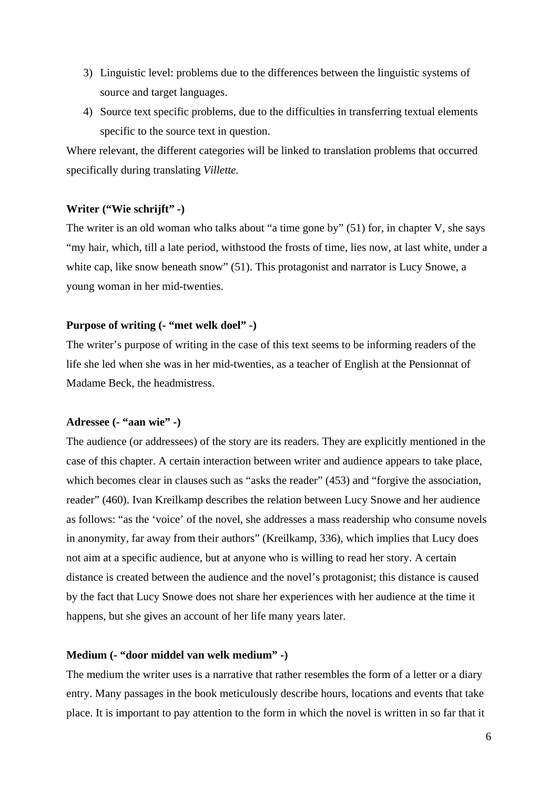- 3) Linguistic level: problems due to the differences between the linguistic systems of source and target languages.
- 4) Source text specific problems, due to the difficulties in transferring textual elements specific to the source text in question.

Where relevant, the different categories will be linked to translation problems that occurred specifically during translating *Villette.*

#### **Writer ("Wie schrijft" -)**

The writer is an old woman who talks about "a time gone by" (51) for, in chapter V, she says "my hair, which, till a late period, withstood the frosts of time, lies now, at last white, under a white cap, like snow beneath snow" (51). This protagonist and narrator is Lucy Snowe, a young woman in her mid-twenties.

# **Purpose of writing (- "met welk doel" -)**

The writer's purpose of writing in the case of this text seems to be informing readers of the life she led when she was in her mid-twenties, as a teacher of English at the Pensionnat of Madame Beck, the headmistress.

#### **Adressee (- "aan wie" -)**

The audience (or addressees) of the story are its readers. They are explicitly mentioned in the case of this chapter. A certain interaction between writer and audience appears to take place, which becomes clear in clauses such as "asks the reader" (453) and "forgive the association, reader" (460). Ivan Kreilkamp describes the relation between Lucy Snowe and her audience as follows: "as the 'voice' of the novel, she addresses a mass readership who consume novels in anonymity, far away from their authors" (Kreilkamp, 336), which implies that Lucy does not aim at a specific audience, but at anyone who is willing to read her story. A certain distance is created between the audience and the novel's protagonist; this distance is caused by the fact that Lucy Snowe does not share her experiences with her audience at the time it happens, but she gives an account of her life many years later.

#### **Medium (- "door middel van welk medium" -)**

The medium the writer uses is a narrative that rather resembles the form of a letter or a diary entry. Many passages in the book meticulously describe hours, locations and events that take place. It is important to pay attention to the form in which the novel is written in so far that it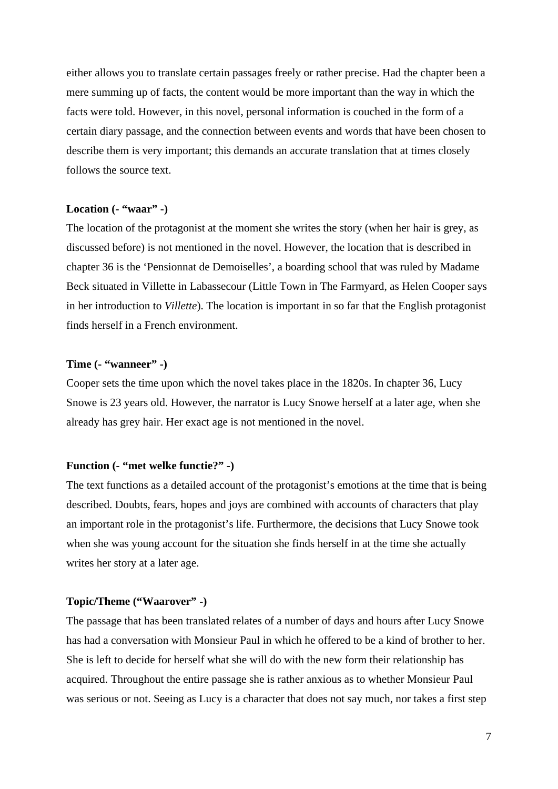either allows you to translate certain passages freely or rather precise. Had the chapter been a mere summing up of facts, the content would be more important than the way in which the facts were told. However, in this novel, personal information is couched in the form of a certain diary passage, and the connection between events and words that have been chosen to describe them is very important; this demands an accurate translation that at times closely follows the source text.

#### **Location (- "waar" -)**

The location of the protagonist at the moment she writes the story (when her hair is grey, as discussed before) is not mentioned in the novel. However, the location that is described in chapter 36 is the 'Pensionnat de Demoiselles', a boarding school that was ruled by Madame Beck situated in Villette in Labassecour (Little Town in The Farmyard, as Helen Cooper says in her introduction to *Villette*). The location is important in so far that the English protagonist finds herself in a French environment.

# **Time (- "wanneer" -)**

Cooper sets the time upon which the novel takes place in the 1820s. In chapter 36, Lucy Snowe is 23 years old. However, the narrator is Lucy Snowe herself at a later age, when she already has grey hair. Her exact age is not mentioned in the novel.

#### **Function (- "met welke functie?" -)**

The text functions as a detailed account of the protagonist's emotions at the time that is being described. Doubts, fears, hopes and joys are combined with accounts of characters that play an important role in the protagonist's life. Furthermore, the decisions that Lucy Snowe took when she was young account for the situation she finds herself in at the time she actually writes her story at a later age.

#### **Topic/Theme ("Waarover" -)**

The passage that has been translated relates of a number of days and hours after Lucy Snowe has had a conversation with Monsieur Paul in which he offered to be a kind of brother to her. She is left to decide for herself what she will do with the new form their relationship has acquired. Throughout the entire passage she is rather anxious as to whether Monsieur Paul was serious or not. Seeing as Lucy is a character that does not say much, nor takes a first step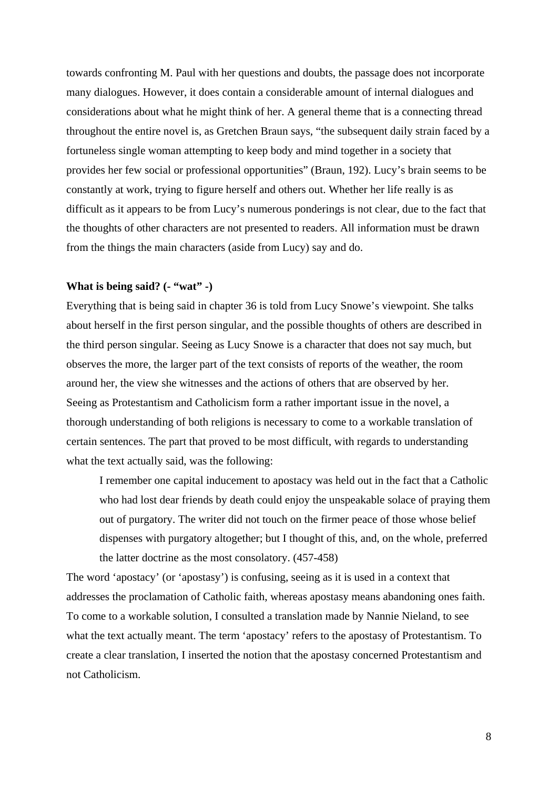towards confronting M. Paul with her questions and doubts, the passage does not incorporate many dialogues. However, it does contain a considerable amount of internal dialogues and considerations about what he might think of her. A general theme that is a connecting thread throughout the entire novel is, as Gretchen Braun says, "the subsequent daily strain faced by a fortuneless single woman attempting to keep body and mind together in a society that provides her few social or professional opportunities" (Braun, 192). Lucy's brain seems to be constantly at work, trying to figure herself and others out. Whether her life really is as difficult as it appears to be from Lucy's numerous ponderings is not clear, due to the fact that the thoughts of other characters are not presented to readers. All information must be drawn from the things the main characters (aside from Lucy) say and do.

#### **What is being said? (- "wat" -)**

Everything that is being said in chapter 36 is told from Lucy Snowe's viewpoint. She talks about herself in the first person singular, and the possible thoughts of others are described in the third person singular. Seeing as Lucy Snowe is a character that does not say much, but observes the more, the larger part of the text consists of reports of the weather, the room around her, the view she witnesses and the actions of others that are observed by her. Seeing as Protestantism and Catholicism form a rather important issue in the novel, a thorough understanding of both religions is necessary to come to a workable translation of certain sentences. The part that proved to be most difficult, with regards to understanding what the text actually said, was the following:

I remember one capital inducement to apostacy was held out in the fact that a Catholic who had lost dear friends by death could enjoy the unspeakable solace of praying them out of purgatory. The writer did not touch on the firmer peace of those whose belief dispenses with purgatory altogether; but I thought of this, and, on the whole, preferred the latter doctrine as the most consolatory. (457-458)

The word 'apostacy' (or 'apostasy') is confusing, seeing as it is used in a context that addresses the proclamation of Catholic faith, whereas apostasy means abandoning ones faith. To come to a workable solution, I consulted a translation made by Nannie Nieland, to see what the text actually meant. The term 'apostacy' refers to the apostasy of Protestantism. To create a clear translation, I inserted the notion that the apostasy concerned Protestantism and not Catholicism.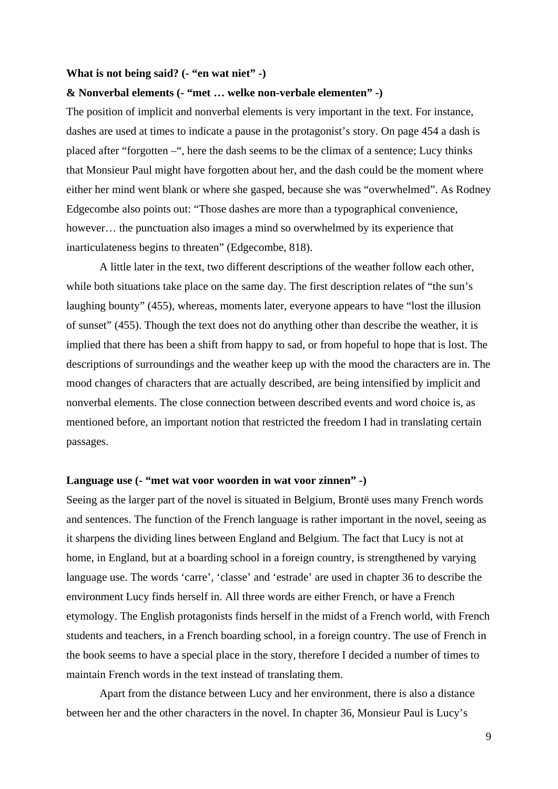# **What is not being said? (- "en wat niet" -)**

#### **& Nonverbal elements (- "met … welke non-verbale elementen" -)**

The position of implicit and nonverbal elements is very important in the text. For instance, dashes are used at times to indicate a pause in the protagonist's story. On page 454 a dash is placed after "forgotten –", here the dash seems to be the climax of a sentence; Lucy thinks that Monsieur Paul might have forgotten about her, and the dash could be the moment where either her mind went blank or where she gasped, because she was "overwhelmed". As Rodney Edgecombe also points out: "Those dashes are more than a typographical convenience, however... the punctuation also images a mind so overwhelmed by its experience that inarticulateness begins to threaten" (Edgecombe, 818).

A little later in the text, two different descriptions of the weather follow each other, while both situations take place on the same day. The first description relates of "the sun's laughing bounty" (455), whereas, moments later, everyone appears to have "lost the illusion of sunset" (455). Though the text does not do anything other than describe the weather, it is implied that there has been a shift from happy to sad, or from hopeful to hope that is lost. The descriptions of surroundings and the weather keep up with the mood the characters are in. The mood changes of characters that are actually described, are being intensified by implicit and nonverbal elements. The close connection between described events and word choice is, as mentioned before, an important notion that restricted the freedom I had in translating certain passages.

#### **Language use (- "met wat voor woorden in wat voor zinnen" -)**

Seeing as the larger part of the novel is situated in Belgium, Brontë uses many French words and sentences. The function of the French language is rather important in the novel, seeing as it sharpens the dividing lines between England and Belgium. The fact that Lucy is not at home, in England, but at a boarding school in a foreign country, is strengthened by varying language use. The words 'carre', 'classe' and 'estrade' are used in chapter 36 to describe the environment Lucy finds herself in. All three words are either French, or have a French etymology. The English protagonists finds herself in the midst of a French world, with French students and teachers, in a French boarding school, in a foreign country. The use of French in the book seems to have a special place in the story, therefore I decided a number of times to maintain French words in the text instead of translating them.

Apart from the distance between Lucy and her environment, there is also a distance between her and the other characters in the novel. In chapter 36, Monsieur Paul is Lucy's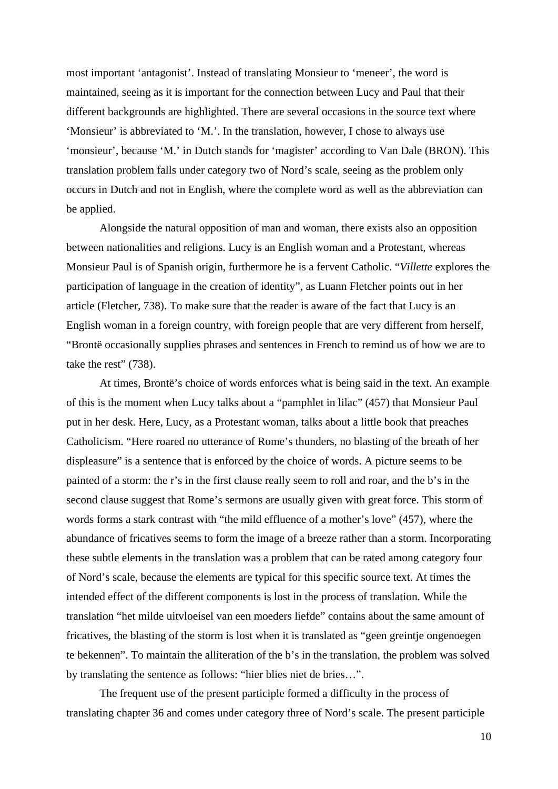most important 'antagonist'. Instead of translating Monsieur to 'meneer', the word is maintained, seeing as it is important for the connection between Lucy and Paul that their different backgrounds are highlighted. There are several occasions in the source text where 'Monsieur' is abbreviated to 'M.'. In the translation, however, I chose to always use 'monsieur', because 'M.' in Dutch stands for 'magister' according to Van Dale (BRON). This translation problem falls under category two of Nord's scale, seeing as the problem only occurs in Dutch and not in English, where the complete word as well as the abbreviation can be applied.

Alongside the natural opposition of man and woman, there exists also an opposition between nationalities and religions. Lucy is an English woman and a Protestant, whereas Monsieur Paul is of Spanish origin, furthermore he is a fervent Catholic. "*Villette* explores the participation of language in the creation of identity", as Luann Fletcher points out in her article (Fletcher, 738). To make sure that the reader is aware of the fact that Lucy is an English woman in a foreign country, with foreign people that are very different from herself, "Brontë occasionally supplies phrases and sentences in French to remind us of how we are to take the rest" (738).

At times, Brontë's choice of words enforces what is being said in the text. An example of this is the moment when Lucy talks about a "pamphlet in lilac" (457) that Monsieur Paul put in her desk. Here, Lucy, as a Protestant woman, talks about a little book that preaches Catholicism. "Here roared no utterance of Rome's thunders, no blasting of the breath of her displeasure" is a sentence that is enforced by the choice of words. A picture seems to be painted of a storm: the r's in the first clause really seem to roll and roar, and the b's in the second clause suggest that Rome's sermons are usually given with great force. This storm of words forms a stark contrast with "the mild effluence of a mother's love" (457), where the abundance of fricatives seems to form the image of a breeze rather than a storm. Incorporating these subtle elements in the translation was a problem that can be rated among category four of Nord's scale, because the elements are typical for this specific source text. At times the intended effect of the different components is lost in the process of translation. While the translation "het milde uitvloeisel van een moeders liefde" contains about the same amount of fricatives, the blasting of the storm is lost when it is translated as "geen greintje ongenoegen te bekennen". To maintain the alliteration of the b's in the translation, the problem was solved by translating the sentence as follows: "hier blies niet de bries…".

The frequent use of the present participle formed a difficulty in the process of translating chapter 36 and comes under category three of Nord's scale. The present participle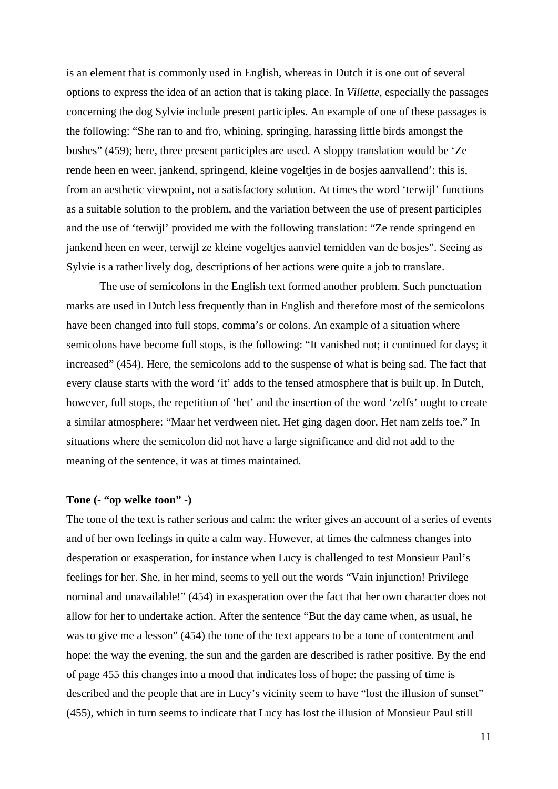is an element that is commonly used in English, whereas in Dutch it is one out of several options to express the idea of an action that is taking place. In *Villette*, especially the passages concerning the dog Sylvie include present participles. An example of one of these passages is the following: "She ran to and fro, whining, springing, harassing little birds amongst the bushes" (459); here, three present participles are used. A sloppy translation would be 'Ze rende heen en weer, jankend, springend, kleine vogeltjes in de bosjes aanvallend': this is, from an aesthetic viewpoint, not a satisfactory solution. At times the word 'terwijl' functions as a suitable solution to the problem, and the variation between the use of present participles and the use of 'terwijl' provided me with the following translation: "Ze rende springend en jankend heen en weer, terwijl ze kleine vogeltjes aanviel temidden van de bosjes". Seeing as Sylvie is a rather lively dog, descriptions of her actions were quite a job to translate.

The use of semicolons in the English text formed another problem. Such punctuation marks are used in Dutch less frequently than in English and therefore most of the semicolons have been changed into full stops, comma's or colons. An example of a situation where semicolons have become full stops, is the following: "It vanished not; it continued for days; it increased" (454). Here, the semicolons add to the suspense of what is being sad. The fact that every clause starts with the word 'it' adds to the tensed atmosphere that is built up. In Dutch, however, full stops, the repetition of 'het' and the insertion of the word 'zelfs' ought to create a similar atmosphere: "Maar het verdween niet. Het ging dagen door. Het nam zelfs toe." In situations where the semicolon did not have a large significance and did not add to the meaning of the sentence, it was at times maintained.

#### **Tone (- "op welke toon" -)**

The tone of the text is rather serious and calm: the writer gives an account of a series of events and of her own feelings in quite a calm way. However, at times the calmness changes into desperation or exasperation, for instance when Lucy is challenged to test Monsieur Paul's feelings for her. She, in her mind, seems to yell out the words "Vain injunction! Privilege nominal and unavailable!" (454) in exasperation over the fact that her own character does not allow for her to undertake action. After the sentence "But the day came when, as usual, he was to give me a lesson" (454) the tone of the text appears to be a tone of contentment and hope: the way the evening, the sun and the garden are described is rather positive. By the end of page 455 this changes into a mood that indicates loss of hope: the passing of time is described and the people that are in Lucy's vicinity seem to have "lost the illusion of sunset" (455), which in turn seems to indicate that Lucy has lost the illusion of Monsieur Paul still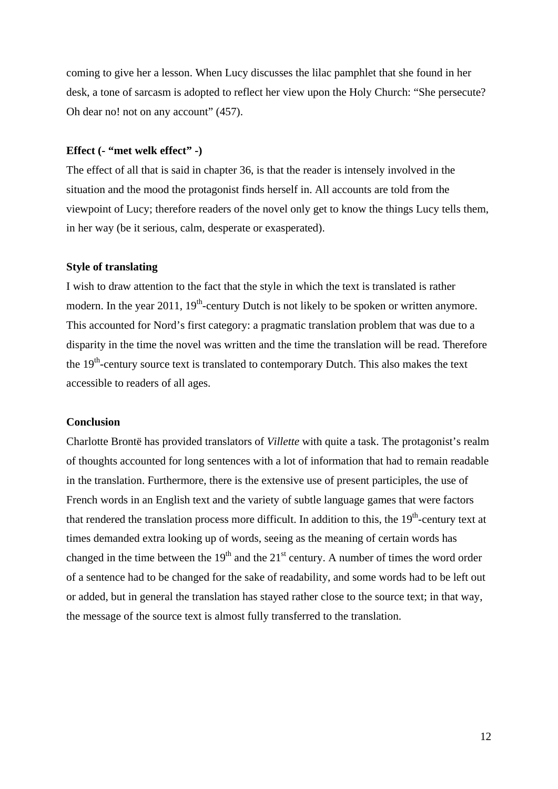coming to give her a lesson. When Lucy discusses the lilac pamphlet that she found in her desk, a tone of sarcasm is adopted to reflect her view upon the Holy Church: "She persecute? Oh dear no! not on any account" (457).

#### **Effect (- "met welk effect" -)**

The effect of all that is said in chapter 36, is that the reader is intensely involved in the situation and the mood the protagonist finds herself in. All accounts are told from the viewpoint of Lucy; therefore readers of the novel only get to know the things Lucy tells them, in her way (be it serious, calm, desperate or exasperated).

#### **Style of translating**

I wish to draw attention to the fact that the style in which the text is translated is rather modern. In the year 2011,  $19<sup>th</sup>$ -century Dutch is not likely to be spoken or written anymore. This accounted for Nord's first category: a pragmatic translation problem that was due to a disparity in the time the novel was written and the time the translation will be read. Therefore the  $19<sup>th</sup>$ -century source text is translated to contemporary Dutch. This also makes the text accessible to readers of all ages.

#### **Conclusion**

Charlotte Brontë has provided translators of *Villette* with quite a task. The protagonist's realm of thoughts accounted for long sentences with a lot of information that had to remain readable in the translation. Furthermore, there is the extensive use of present participles, the use of French words in an English text and the variety of subtle language games that were factors that rendered the translation process more difficult. In addition to this, the  $19<sup>th</sup>$ -century text at times demanded extra looking up of words, seeing as the meaning of certain words has changed in the time between the  $19<sup>th</sup>$  and the  $21<sup>st</sup>$  century. A number of times the word order of a sentence had to be changed for the sake of readability, and some words had to be left out or added, but in general the translation has stayed rather close to the source text; in that way, the message of the source text is almost fully transferred to the translation.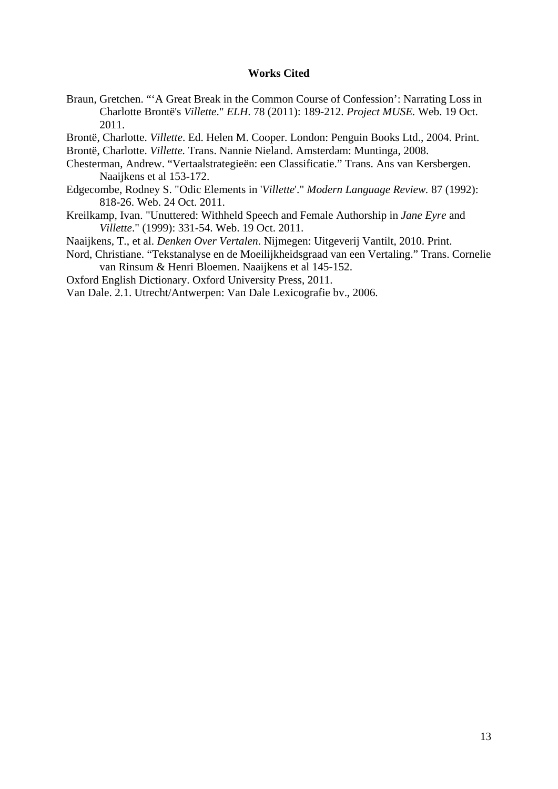# **Works Cited**

- Braun, Gretchen. "'A Great Break in the Common Course of Confession': Narrating Loss in Charlotte Brontë's *Villette*." *ELH*. 78 (2011): 189-212. *Project MUSE.* Web. 19 Oct. 2011.
- Brontë, Charlotte. *Villette*. Ed. Helen M. Cooper. London: Penguin Books Ltd., 2004. Print. Brontë, Charlotte. *Villette.* Trans. Nannie Nieland. Amsterdam: Muntinga, 2008.
- Chesterman, Andrew. "Vertaalstrategieën: een Classificatie." Trans. Ans van Kersbergen. Naaijkens et al 153-172.
- Edgecombe, Rodney S. "Odic Elements in '*Villette*'." *Modern Language Review.* 87 (1992): 818-26. Web. 24 Oct. 2011.
- Kreilkamp, Ivan. "Unuttered: Withheld Speech and Female Authorship in *Jane Eyre* and *Villette*." (1999): 331-54. Web. 19 Oct. 2011.
- Naaijkens, T., et al. *Denken Over Vertalen*. Nijmegen: Uitgeverij Vantilt, 2010. Print.
- Nord, Christiane. "Tekstanalyse en de Moeilijkheidsgraad van een Vertaling." Trans. Cornelie van Rinsum & Henri Bloemen. Naaijkens et al 145-152.
- Oxford English Dictionary. Oxford University Press, 2011.

Van Dale. 2.1. Utrecht/Antwerpen: Van Dale Lexicografie bv., 2006.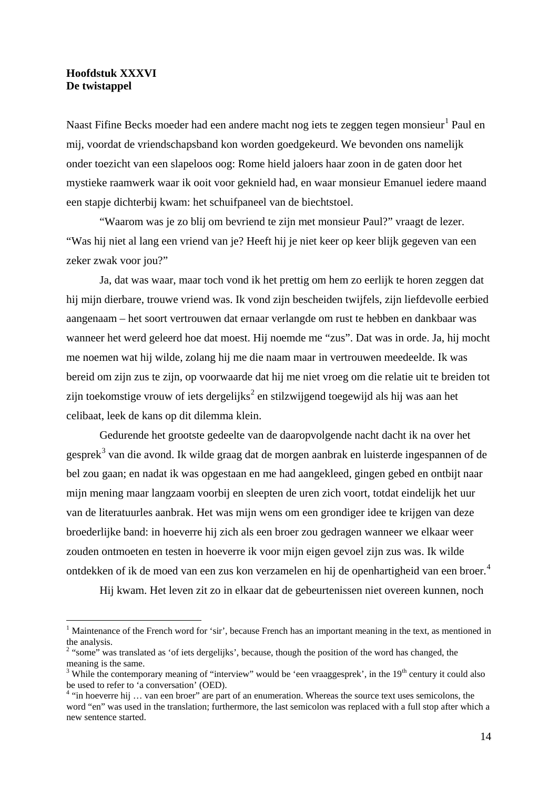# **Hoofdstuk XXXVI De twistappel**

**.** 

Naast Fifine Becks moeder had een andere macht nog iets te zeggen tegen monsieur<sup>[1](#page-13-0)</sup> Paul en mij, voordat de vriendschapsband kon worden goedgekeurd. We bevonden ons namelijk onder toezicht van een slapeloos oog: Rome hield jaloers haar zoon in de gaten door het mystieke raamwerk waar ik ooit voor geknield had, en waar monsieur Emanuel iedere maand een stapje dichterbij kwam: het schuifpaneel van de biechtstoel.

"Waarom was je zo blij om bevriend te zijn met monsieur Paul?" vraagt de lezer. "Was hij niet al lang een vriend van je? Heeft hij je niet keer op keer blijk gegeven van een zeker zwak voor jou?"

Ja, dat was waar, maar toch vond ik het prettig om hem zo eerlijk te horen zeggen dat hij mijn dierbare, trouwe vriend was. Ik vond zijn bescheiden twijfels, zijn liefdevolle eerbied aangenaam – het soort vertrouwen dat ernaar verlangde om rust te hebben en dankbaar was wanneer het werd geleerd hoe dat moest. Hij noemde me "zus". Dat was in orde. Ja, hij mocht me noemen wat hij wilde, zolang hij me die naam maar in vertrouwen meedeelde. Ik was bereid om zijn zus te zijn, op voorwaarde dat hij me niet vroeg om die relatie uit te breiden tot zijn toekomstige vrouw of iets dergelijks<sup>[2](#page-13-1)</sup> en stilzwijgend toegewijd als hij was aan het celibaat, leek de kans op dit dilemma klein.

Gedurende het grootste gedeelte van de daaropvolgende nacht dacht ik na over het gesprek<sup>[3](#page-13-2)</sup> van die avond. Ik wilde graag dat de morgen aanbrak en luisterde ingespannen of de bel zou gaan; en nadat ik was opgestaan en me had aangekleed, gingen gebed en ontbijt naar mijn mening maar langzaam voorbij en sleepten de uren zich voort, totdat eindelijk het uur van de literatuurles aanbrak. Het was mijn wens om een grondiger idee te krijgen van deze broederlijke band: in hoeverre hij zich als een broer zou gedragen wanneer we elkaar weer zouden ontmoeten en testen in hoeverre ik voor mijn eigen gevoel zijn zus was. Ik wilde ontdekken of ik de moed van een zus kon verzamelen en hij de openhartigheid van een broer.[4](#page-13-3)

Hij kwam. Het leven zit zo in elkaar dat de gebeurtenissen niet overeen kunnen, noch

<span id="page-13-0"></span><sup>&</sup>lt;sup>1</sup> Maintenance of the French word for 'sir', because French has an important meaning in the text, as mentioned in the analysis.<br><sup>2</sup> "some" was translated as 'of iets dergelijks', because, though the position of the word has changed, the

<span id="page-13-1"></span>meaning is the same.

<span id="page-13-2"></span><sup>&</sup>lt;sup>3</sup> While the contemporary meaning of "interview" would be 'een vraaggesprek', in the  $19<sup>th</sup>$  century it could also be used to refer to 'a conversation' (OED).

<span id="page-13-3"></span><sup>&</sup>lt;sup>4</sup> "in hoeverre hij ... van een broer" are part of an enumeration. Whereas the source text uses semicolons, the word "en" was used in the translation; furthermore, the last semicolon was replaced with a full stop after which a new sentence started.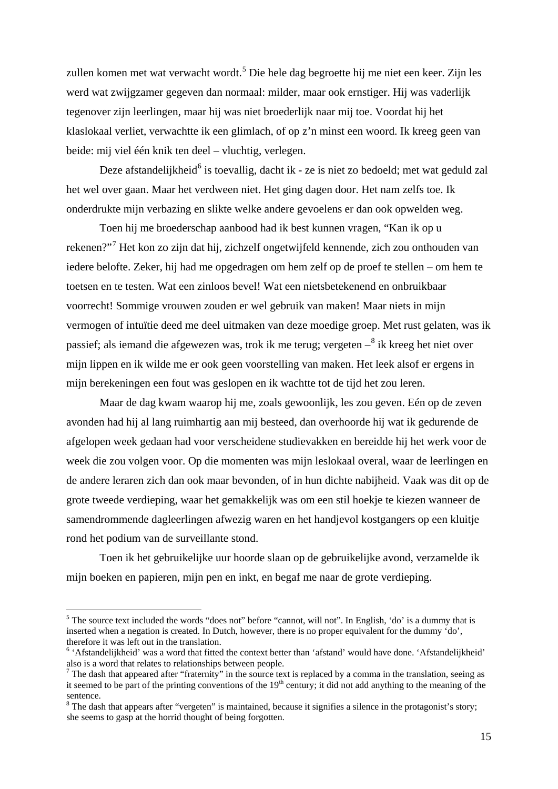zullen komen met wat verwacht wordt.<sup>[5](#page-14-0)</sup> Die hele dag begroette hij me niet een keer. Zijn les werd wat zwijgzamer gegeven dan normaal: milder, maar ook ernstiger. Hij was vaderlijk tegenover zijn leerlingen, maar hij was niet broederlijk naar mij toe. Voordat hij het klaslokaal verliet, verwachtte ik een glimlach, of op z'n minst een woord. Ik kreeg geen van beide: mij viel één knik ten deel – vluchtig, verlegen.

Deze afstandelijkheid<sup>[6](#page-14-1)</sup> is toevallig, dacht ik - ze is niet zo bedoeld; met wat geduld zal het wel over gaan. Maar het verdween niet. Het ging dagen door. Het nam zelfs toe. Ik onderdrukte mijn verbazing en slikte welke andere gevoelens er dan ook opwelden weg.

Toen hij me broederschap aanbood had ik best kunnen vragen, "Kan ik op u rekenen?"[7](#page-14-2) Het kon zo zijn dat hij, zichzelf ongetwijfeld kennende, zich zou onthouden van iedere belofte. Zeker, hij had me opgedragen om hem zelf op de proef te stellen – om hem te toetsen en te testen. Wat een zinloos bevel! Wat een nietsbetekenend en onbruikbaar voorrecht! Sommige vrouwen zouden er wel gebruik van maken! Maar niets in mijn vermogen of intuïtie deed me deel uitmaken van deze moedige groep. Met rust gelaten, was ik passief; als iemand die afgewezen was, trok ik me terug; vergeten  $-$ <sup>[8](#page-14-3)</sup> ik kreeg het niet over mijn lippen en ik wilde me er ook geen voorstelling van maken. Het leek alsof er ergens in mijn berekeningen een fout was geslopen en ik wachtte tot de tijd het zou leren.

Maar de dag kwam waarop hij me, zoals gewoonlijk, les zou geven. Eén op de zeven avonden had hij al lang ruimhartig aan mij besteed, dan overhoorde hij wat ik gedurende de afgelopen week gedaan had voor verscheidene studievakken en bereidde hij het werk voor de week die zou volgen voor. Op die momenten was mijn leslokaal overal, waar de leerlingen en de andere leraren zich dan ook maar bevonden, of in hun dichte nabijheid. Vaak was dit op de grote tweede verdieping, waar het gemakkelijk was om een stil hoekje te kiezen wanneer de samendrommende dagleerlingen afwezig waren en het handjevol kostgangers op een kluitje rond het podium van de surveillante stond.

Toen ik het gebruikelijke uur hoorde slaan op de gebruikelijke avond, verzamelde ik mijn boeken en papieren, mijn pen en inkt, en begaf me naar de grote verdieping.

**.** 

<span id="page-14-0"></span><sup>&</sup>lt;sup>5</sup> The source text included the words "does not" before "cannot, will not". In English, 'do' is a dummy that is inserted when a negation is created. In Dutch, however, there is no proper equivalent for the dummy 'do', therefore it was left out in the translation.

<span id="page-14-1"></span><sup>&</sup>lt;sup>6</sup> 'Afstandelijkheid' was a word that fitted the context better than 'afstand' would have done. 'Afstandelijkheid' also is a word that relates to relationships between people.

<span id="page-14-2"></span> $<sup>7</sup>$  The dash that appeared after "fraternity" in the source text is replaced by a comma in the translation, seeing as</sup> it seemed to be part of the printing conventions of the  $19<sup>th</sup>$  century; it did not add anything to the meaning of the sentence.

<span id="page-14-3"></span> $8$  The dash that appears after "vergeten" is maintained, because it signifies a silence in the protagonist's story; she seems to gasp at the horrid thought of being forgotten.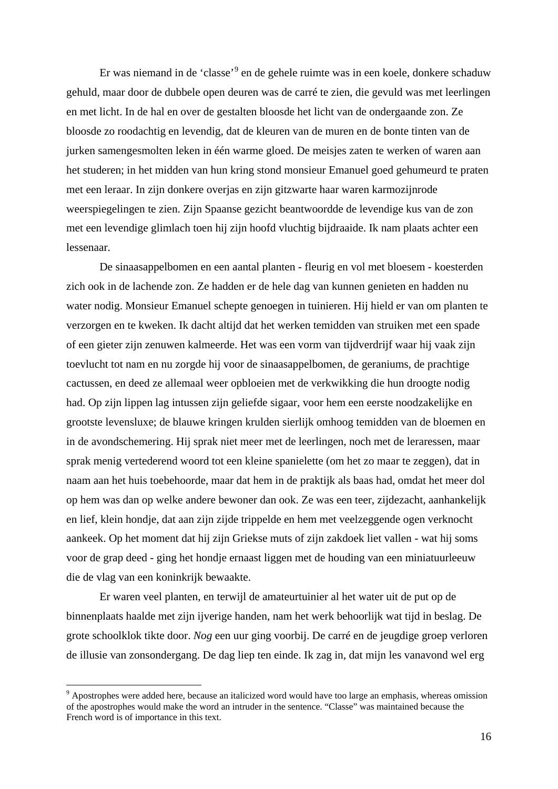Er was niemand in de 'classe'<sup>[9](#page-15-0)</sup> en de gehele ruimte was in een koele, donkere schaduw gehuld, maar door de dubbele open deuren was de carré te zien, die gevuld was met leerlingen en met licht. In de hal en over de gestalten bloosde het licht van de ondergaande zon. Ze bloosde zo roodachtig en levendig, dat de kleuren van de muren en de bonte tinten van de jurken samengesmolten leken in één warme gloed. De meisjes zaten te werken of waren aan het studeren; in het midden van hun kring stond monsieur Emanuel goed gehumeurd te praten met een leraar. In zijn donkere overjas en zijn gitzwarte haar waren karmozijnrode weerspiegelingen te zien. Zijn Spaanse gezicht beantwoordde de levendige kus van de zon met een levendige glimlach toen hij zijn hoofd vluchtig bijdraaide. Ik nam plaats achter een lessenaar.

De sinaasappelbomen en een aantal planten - fleurig en vol met bloesem - koesterden zich ook in de lachende zon. Ze hadden er de hele dag van kunnen genieten en hadden nu water nodig. Monsieur Emanuel schepte genoegen in tuinieren. Hij hield er van om planten te verzorgen en te kweken. Ik dacht altijd dat het werken temidden van struiken met een spade of een gieter zijn zenuwen kalmeerde. Het was een vorm van tijdverdrijf waar hij vaak zijn toevlucht tot nam en nu zorgde hij voor de sinaasappelbomen, de geraniums, de prachtige cactussen, en deed ze allemaal weer opbloeien met de verkwikking die hun droogte nodig had. Op zijn lippen lag intussen zijn geliefde sigaar, voor hem een eerste noodzakelijke en grootste levensluxe; de blauwe kringen krulden sierlijk omhoog temidden van de bloemen en in de avondschemering. Hij sprak niet meer met de leerlingen, noch met de leraressen, maar sprak menig vertederend woord tot een kleine spanielette (om het zo maar te zeggen), dat in naam aan het huis toebehoorde, maar dat hem in de praktijk als baas had, omdat het meer dol op hem was dan op welke andere bewoner dan ook. Ze was een teer, zijdezacht, aanhankelijk en lief, klein hondje, dat aan zijn zijde trippelde en hem met veelzeggende ogen verknocht aankeek. Op het moment dat hij zijn Griekse muts of zijn zakdoek liet vallen - wat hij soms voor de grap deed - ging het hondje ernaast liggen met de houding van een miniatuurleeuw die de vlag van een koninkrijk bewaakte.

Er waren veel planten, en terwijl de amateurtuinier al het water uit de put op de binnenplaats haalde met zijn ijverige handen, nam het werk behoorlijk wat tijd in beslag. De grote schoolklok tikte door. *Nog* een uur ging voorbij. De carré en de jeugdige groep verloren de illusie van zonsondergang. De dag liep ten einde. Ik zag in, dat mijn les vanavond wel erg

 $\overline{\phantom{a}}$ 

<span id="page-15-0"></span><sup>&</sup>lt;sup>9</sup> Apostrophes were added here, because an italicized word would have too large an emphasis, whereas omission of the apostrophes would make the word an intruder in the sentence. "Classe" was maintained because the French word is of importance in this text.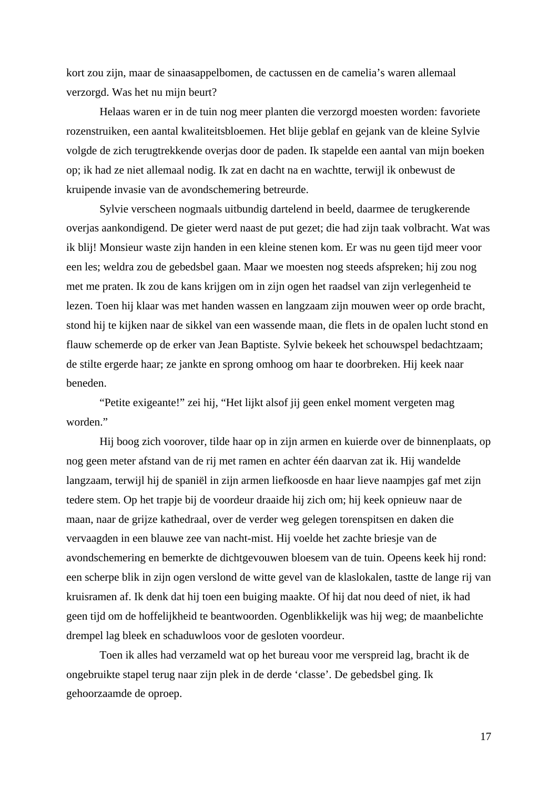kort zou zijn, maar de sinaasappelbomen, de cactussen en de camelia's waren allemaal verzorgd. Was het nu mijn beurt?

Helaas waren er in de tuin nog meer planten die verzorgd moesten worden: favoriete rozenstruiken, een aantal kwaliteitsbloemen. Het blije geblaf en gejank van de kleine Sylvie volgde de zich terugtrekkende overjas door de paden. Ik stapelde een aantal van mijn boeken op; ik had ze niet allemaal nodig. Ik zat en dacht na en wachtte, terwijl ik onbewust de kruipende invasie van de avondschemering betreurde.

Sylvie verscheen nogmaals uitbundig dartelend in beeld, daarmee de terugkerende overjas aankondigend. De gieter werd naast de put gezet; die had zijn taak volbracht. Wat was ik blij! Monsieur waste zijn handen in een kleine stenen kom. Er was nu geen tijd meer voor een les; weldra zou de gebedsbel gaan. Maar we moesten nog steeds afspreken; hij zou nog met me praten. Ik zou de kans krijgen om in zijn ogen het raadsel van zijn verlegenheid te lezen. Toen hij klaar was met handen wassen en langzaam zijn mouwen weer op orde bracht, stond hij te kijken naar de sikkel van een wassende maan, die flets in de opalen lucht stond en flauw schemerde op de erker van Jean Baptiste. Sylvie bekeek het schouwspel bedachtzaam; de stilte ergerde haar; ze jankte en sprong omhoog om haar te doorbreken. Hij keek naar beneden.

"Petite exigeante!" zei hij, "Het lijkt alsof jij geen enkel moment vergeten mag worden."

Hij boog zich voorover, tilde haar op in zijn armen en kuierde over de binnenplaats, op nog geen meter afstand van de rij met ramen en achter één daarvan zat ik. Hij wandelde langzaam, terwijl hij de spaniël in zijn armen liefkoosde en haar lieve naampjes gaf met zijn tedere stem. Op het trapje bij de voordeur draaide hij zich om; hij keek opnieuw naar de maan, naar de grijze kathedraal, over de verder weg gelegen torenspitsen en daken die vervaagden in een blauwe zee van nacht-mist. Hij voelde het zachte briesje van de avondschemering en bemerkte de dichtgevouwen bloesem van de tuin. Opeens keek hij rond: een scherpe blik in zijn ogen verslond de witte gevel van de klaslokalen, tastte de lange rij van kruisramen af. Ik denk dat hij toen een buiging maakte. Of hij dat nou deed of niet, ik had geen tijd om de hoffelijkheid te beantwoorden. Ogenblikkelijk was hij weg; de maanbelichte drempel lag bleek en schaduwloos voor de gesloten voordeur.

Toen ik alles had verzameld wat op het bureau voor me verspreid lag, bracht ik de ongebruikte stapel terug naar zijn plek in de derde 'classe'. De gebedsbel ging. Ik gehoorzaamde de oproep.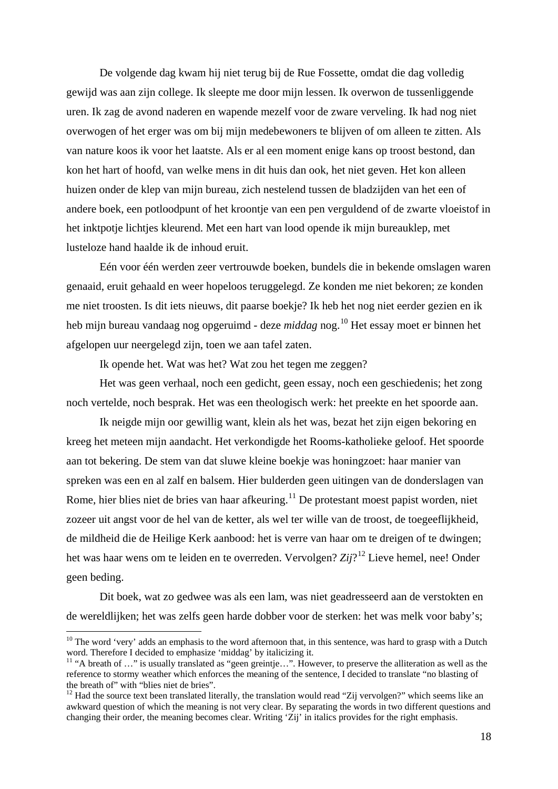De volgende dag kwam hij niet terug bij de Rue Fossette, omdat die dag volledig gewijd was aan zijn college. Ik sleepte me door mijn lessen. Ik overwon de tussenliggende uren. Ik zag de avond naderen en wapende mezelf voor de zware verveling. Ik had nog niet overwogen of het erger was om bij mijn medebewoners te blijven of om alleen te zitten. Als van nature koos ik voor het laatste. Als er al een moment enige kans op troost bestond, dan kon het hart of hoofd, van welke mens in dit huis dan ook, het niet geven. Het kon alleen huizen onder de klep van mijn bureau, zich nestelend tussen de bladzijden van het een of andere boek, een potloodpunt of het kroontje van een pen verguldend of de zwarte vloeistof in het inktpotje lichtjes kleurend. Met een hart van lood opende ik mijn bureauklep, met lusteloze hand haalde ik de inhoud eruit.

Eén voor één werden zeer vertrouwde boeken, bundels die in bekende omslagen waren genaaid, eruit gehaald en weer hopeloos teruggelegd. Ze konden me niet bekoren; ze konden me niet troosten. Is dit iets nieuws, dit paarse boekje? Ik heb het nog niet eerder gezien en ik heb mijn bureau vandaag nog opgeruimd - deze *middag* nog.[10](#page-17-0) Het essay moet er binnen het afgelopen uur neergelegd zijn, toen we aan tafel zaten.

Ik opende het. Wat was het? Wat zou het tegen me zeggen?

Het was geen verhaal, noch een gedicht, geen essay, noch een geschiedenis; het zong noch vertelde, noch besprak. Het was een theologisch werk: het preekte en het spoorde aan.

Ik neigde mijn oor gewillig want, klein als het was, bezat het zijn eigen bekoring en kreeg het meteen mijn aandacht. Het verkondigde het Rooms-katholieke geloof. Het spoorde aan tot bekering. De stem van dat sluwe kleine boekje was honingzoet: haar manier van spreken was een en al zalf en balsem. Hier bulderden geen uitingen van de donderslagen van Rome, hier blies niet de bries van haar afkeuring.<sup>[11](#page-17-1)</sup> De protestant moest papist worden, niet zozeer uit angst voor de hel van de ketter, als wel ter wille van de troost, de toegeeflijkheid, de mildheid die de Heilige Kerk aanbood: het is verre van haar om te dreigen of te dwingen; het was haar wens om te leiden en te overreden. Vervolgen? *Zij*?[12](#page-17-2) Lieve hemel, nee! Onder geen beding.

Dit boek, wat zo gedwee was als een lam, was niet geadresseerd aan de verstokten en de wereldlijken; het was zelfs geen harde dobber voor de sterken: het was melk voor baby's;

**.** 

<span id="page-17-0"></span> $10$  The word 'very' adds an emphasis to the word afternoon that, in this sentence, was hard to grasp with a Dutch word. Therefore I decided to emphasize 'middag' by italicizing it.

<span id="page-17-1"></span><sup>&</sup>lt;sup>11</sup> "A breath of ..." is usually translated as "geen greintje...". However, to preserve the alliteration as well as the reference to stormy weather which enforces the meaning of the sentence, I decided to translate "no blasting of the breath of" with "blies niet de bries".

<span id="page-17-2"></span> $12$  Had the source text been translated literally, the translation would read "Zij vervolgen?" which seems like an awkward question of which the meaning is not very clear. By separating the words in two different questions and changing their order, the meaning becomes clear. Writing 'Zij' in italics provides for the right emphasis.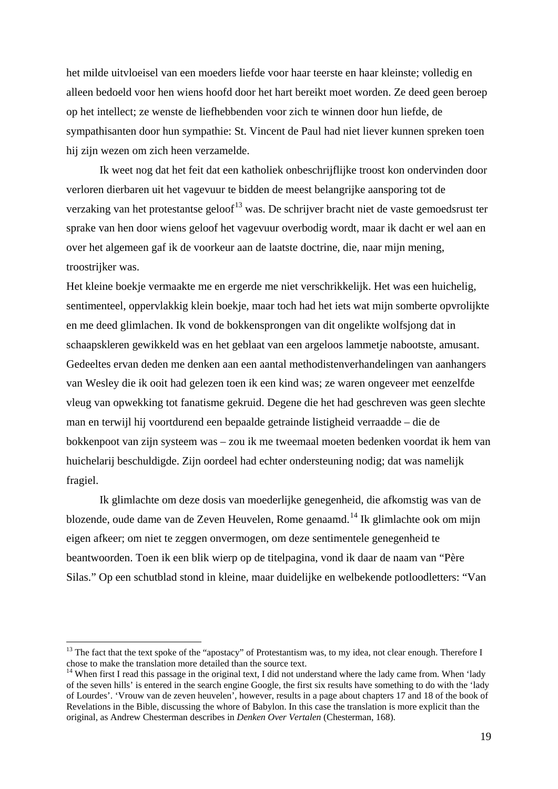het milde uitvloeisel van een moeders liefde voor haar teerste en haar kleinste; volledig en alleen bedoeld voor hen wiens hoofd door het hart bereikt moet worden. Ze deed geen beroep op het intellect; ze wenste de liefhebbenden voor zich te winnen door hun liefde, de sympathisanten door hun sympathie: St. Vincent de Paul had niet liever kunnen spreken toen hij zijn wezen om zich heen verzamelde.

Ik weet nog dat het feit dat een katholiek onbeschrijflijke troost kon ondervinden door verloren dierbaren uit het vagevuur te bidden de meest belangrijke aansporing tot de verzaking van het protestantse geloof<sup>[13](#page-18-0)</sup> was. De schrijver bracht niet de vaste gemoedsrust ter sprake van hen door wiens geloof het vagevuur overbodig wordt, maar ik dacht er wel aan en over het algemeen gaf ik de voorkeur aan de laatste doctrine, die, naar mijn mening, troostrijker was.

Het kleine boekje vermaakte me en ergerde me niet verschrikkelijk. Het was een huichelig, sentimenteel, oppervlakkig klein boekje, maar toch had het iets wat mijn somberte opvrolijkte en me deed glimlachen. Ik vond de bokkensprongen van dit ongelikte wolfsjong dat in schaapskleren gewikkeld was en het geblaat van een argeloos lammetje nabootste, amusant. Gedeeltes ervan deden me denken aan een aantal methodistenverhandelingen van aanhangers van Wesley die ik ooit had gelezen toen ik een kind was; ze waren ongeveer met eenzelfde vleug van opwekking tot fanatisme gekruid. Degene die het had geschreven was geen slechte man en terwijl hij voortdurend een bepaalde getrainde listigheid verraadde – die de bokkenpoot van zijn systeem was – zou ik me tweemaal moeten bedenken voordat ik hem van huichelarij beschuldigde. Zijn oordeel had echter ondersteuning nodig; dat was namelijk fragiel.

Ik glimlachte om deze dosis van moederlijke genegenheid, die afkomstig was van de blozende, oude dame van de Zeven Heuvelen, Rome genaamd. [14](#page-18-1) Ik glimlachte ook om mijn eigen afkeer; om niet te zeggen onvermogen, om deze sentimentele genegenheid te beantwoorden. Toen ik een blik wierp op de titelpagina, vond ik daar de naam van "Père Silas." Op een schutblad stond in kleine, maar duidelijke en welbekende potloodletters: "Van

 $\overline{\phantom{a}}$ 

<span id="page-18-0"></span> $13$  The fact that the text spoke of the "apostacy" of Protestantism was, to my idea, not clear enough. Therefore I chose to make the translation more detailed than the source text.

<span id="page-18-1"></span><sup>&</sup>lt;sup>14</sup> When first I read this passage in the original text, I did not understand where the lady came from. When 'lady of the seven hills' is entered in the search engine Google, the first six results have something to do with the 'lady of Lourdes'. 'Vrouw van de zeven heuvelen', however, results in a page about chapters 17 and 18 of the book of Revelations in the Bible, discussing the whore of Babylon. In this case the translation is more explicit than the original, as Andrew Chesterman describes in *Denken Over Vertalen* (Chesterman, 168).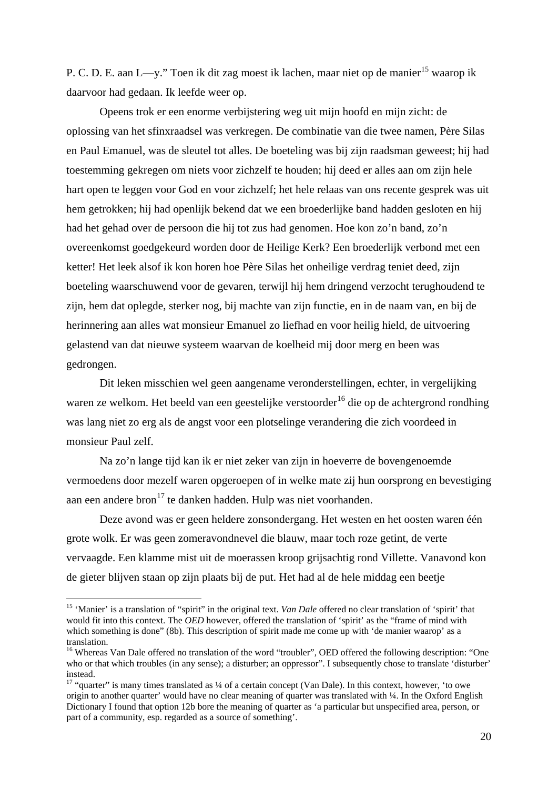P. C. D. E. aan L—y." Toen ik dit zag moest ik lachen, maar niet op de manier<sup>[15](#page-19-0)</sup> waarop ik daarvoor had gedaan. Ik leefde weer op.

Opeens trok er een enorme verbijstering weg uit mijn hoofd en mijn zicht: de oplossing van het sfinxraadsel was verkregen. De combinatie van die twee namen, Père Silas en Paul Emanuel, was de sleutel tot alles. De boeteling was bij zijn raadsman geweest; hij had toestemming gekregen om niets voor zichzelf te houden; hij deed er alles aan om zijn hele hart open te leggen voor God en voor zichzelf; het hele relaas van ons recente gesprek was uit hem getrokken; hij had openlijk bekend dat we een broederlijke band hadden gesloten en hij had het gehad over de persoon die hij tot zus had genomen. Hoe kon zo'n band, zo'n overeenkomst goedgekeurd worden door de Heilige Kerk? Een broederlijk verbond met een ketter! Het leek alsof ik kon horen hoe Père Silas het onheilige verdrag teniet deed, zijn boeteling waarschuwend voor de gevaren, terwijl hij hem dringend verzocht terughoudend te zijn, hem dat oplegde, sterker nog, bij machte van zijn functie, en in de naam van, en bij de herinnering aan alles wat monsieur Emanuel zo liefhad en voor heilig hield, de uitvoering gelastend van dat nieuwe systeem waarvan de koelheid mij door merg en been was gedrongen.

Dit leken misschien wel geen aangename veronderstellingen, echter, in vergelijking waren ze welkom. Het beeld van een geestelijke verstoorder<sup>[16](#page-19-1)</sup> die op de achtergrond rondhing was lang niet zo erg als de angst voor een plotselinge verandering die zich voordeed in monsieur Paul zelf.

Na zo'n lange tijd kan ik er niet zeker van zijn in hoeverre de bovengenoemde vermoedens door mezelf waren opgeroepen of in welke mate zij hun oorsprong en bevestiging aan een andere bron<sup>[17](#page-19-2)</sup> te danken hadden. Hulp was niet voorhanden.

Deze avond was er geen heldere zonsondergang. Het westen en het oosten waren één grote wolk. Er was geen zomeravondnevel die blauw, maar toch roze getint, de verte vervaagde. Een klamme mist uit de moerassen kroop grijsachtig rond Villette. Vanavond kon de gieter blijven staan op zijn plaats bij de put. Het had al de hele middag een beetje

**.** 

<span id="page-19-0"></span><sup>&</sup>lt;sup>15</sup> 'Manier' is a translation of "spirit" in the original text. *Van Dale* offered no clear translation of 'spirit' that would fit into this context. The *OED* however, offered the translation of 'spirit' as the "frame of mind with which something is done" (8b). This description of spirit made me come up with 'de manier waarop' as a translation.

<span id="page-19-1"></span><sup>&</sup>lt;sup>16</sup> Whereas Van Dale offered no translation of the word "troubler", OED offered the following description: "One who or that which troubles (in any sense); a disturber; an oppressor". I subsequently chose to translate 'disturber' instead.

<span id="page-19-2"></span><sup>&</sup>lt;sup>17</sup> "quarter" is many times translated as <sup>1</sup>/4 of a certain concept (Van Dale). In this context, however, 'to owe origin to another quarter' would have no clear meaning of quarter was translated with ¼. In the Oxford English Dictionary I found that option 12b bore the meaning of quarter as 'a particular but unspecified area, person, or part of a community, esp. regarded as a source of something'.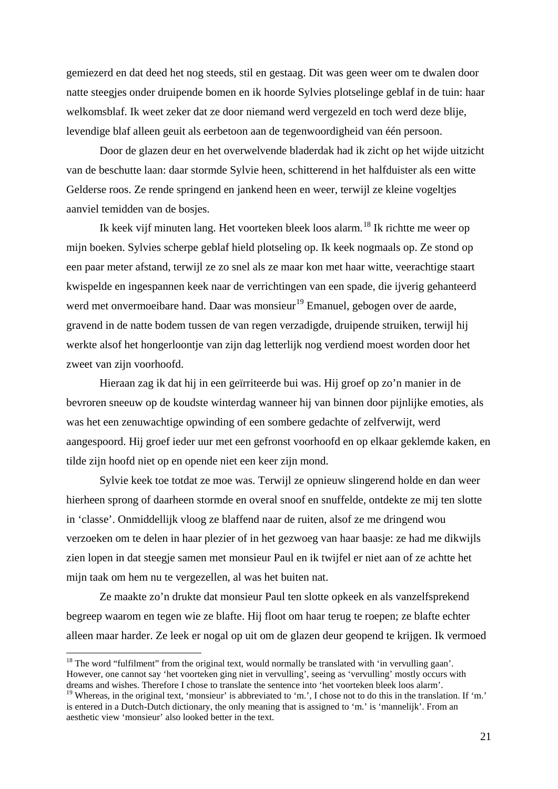gemiezerd en dat deed het nog steeds, stil en gestaag. Dit was geen weer om te dwalen door natte steegjes onder druipende bomen en ik hoorde Sylvies plotselinge geblaf in de tuin: haar welkomsblaf. Ik weet zeker dat ze door niemand werd vergezeld en toch werd deze blije, levendige blaf alleen geuit als eerbetoon aan de tegenwoordigheid van één persoon.

Door de glazen deur en het overwelvende bladerdak had ik zicht op het wijde uitzicht van de beschutte laan: daar stormde Sylvie heen, schitterend in het halfduister als een witte Gelderse roos. Ze rende springend en jankend heen en weer, terwijl ze kleine vogeltjes aanviel temidden van de bosjes.

Ik keek vijf minuten lang. Het voorteken bleek loos alarm.[18](#page-20-0) Ik richtte me weer op mijn boeken. Sylvies scherpe geblaf hield plotseling op. Ik keek nogmaals op. Ze stond op een paar meter afstand, terwijl ze zo snel als ze maar kon met haar witte, veerachtige staart kwispelde en ingespannen keek naar de verrichtingen van een spade, die ijverig gehanteerd werd met onvermoeibare hand. Daar was monsieur<sup>[19](#page-20-1)</sup> Emanuel, gebogen over de aarde, gravend in de natte bodem tussen de van regen verzadigde, druipende struiken, terwijl hij werkte alsof het hongerloontje van zijn dag letterlijk nog verdiend moest worden door het zweet van zijn voorhoofd.

Hieraan zag ik dat hij in een geïrriteerde bui was. Hij groef op zo'n manier in de bevroren sneeuw op de koudste winterdag wanneer hij van binnen door pijnlijke emoties, als was het een zenuwachtige opwinding of een sombere gedachte of zelfverwijt, werd aangespoord. Hij groef ieder uur met een gefronst voorhoofd en op elkaar geklemde kaken, en tilde zijn hoofd niet op en opende niet een keer zijn mond.

Sylvie keek toe totdat ze moe was. Terwijl ze opnieuw slingerend holde en dan weer hierheen sprong of daarheen stormde en overal snoof en snuffelde, ontdekte ze mij ten slotte in 'classe'. Onmiddellijk vloog ze blaffend naar de ruiten, alsof ze me dringend wou verzoeken om te delen in haar plezier of in het gezwoeg van haar baasje: ze had me dikwijls zien lopen in dat steegje samen met monsieur Paul en ik twijfel er niet aan of ze achtte het mijn taak om hem nu te vergezellen, al was het buiten nat.

Ze maakte zo'n drukte dat monsieur Paul ten slotte opkeek en als vanzelfsprekend begreep waarom en tegen wie ze blafte. Hij floot om haar terug te roepen; ze blafte echter alleen maar harder. Ze leek er nogal op uit om de glazen deur geopend te krijgen. Ik vermoed

1

<span id="page-20-0"></span><sup>&</sup>lt;sup>18</sup> The word "fulfilment" from the original text, would normally be translated with 'in vervulling gaan'. However, one cannot say 'het voorteken ging niet in vervulling', seeing as 'vervulling' mostly occurs with dreams and wishes. Therefore I chose to translate the sentence into 'het voorteken bleek loos alarm'.

<span id="page-20-1"></span><sup>&</sup>lt;sup>19</sup> Whereas, in the original text, 'monsieur' is abbreviated to 'm.', I chose not to do this in the translation. If 'm.' is entered in a Dutch-Dutch dictionary, the only meaning that is assigned to 'm.' is 'mannelijk'. From an aesthetic view 'monsieur' also looked better in the text.